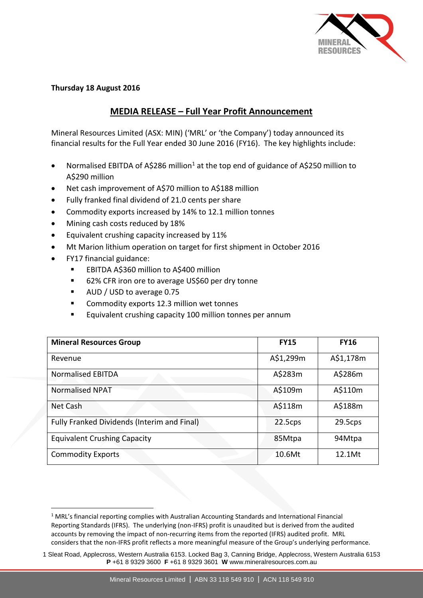

## **Thursday 18 August 2016**

## **MEDIA RELEASE – Full Year Profit Announcement**

Mineral Resources Limited (ASX: MIN) ('MRL' or 'the Company') today announced its financial results for the Full Year ended 30 June 2016 (FY16). The key highlights include:

- Normalised EBITDA of A\$286 million<sup>1</sup> at the top end of guidance of A\$250 million to A\$290 million
- Net cash improvement of A\$70 million to A\$188 million
- Fully franked final dividend of 21.0 cents per share
- Commodity exports increased by 14% to 12.1 million tonnes
- Mining cash costs reduced by 18%
- Equivalent crushing capacity increased by 11%
- Mt Marion lithium operation on target for first shipment in October 2016
- FY17 financial guidance:

<u>.</u>

- EBITDA A\$360 million to A\$400 million
- 62% CFR iron ore to average US\$60 per dry tonne
- AUD / USD to average 0.75
- Commodity exports 12.3 million wet tonnes
- Equivalent crushing capacity 100 million tonnes per annum

| <b>Mineral Resources Group</b>                     | <b>FY15</b> | <b>FY16</b> |
|----------------------------------------------------|-------------|-------------|
| Revenue                                            | A\$1,299m   | A\$1,178m   |
| <b>Normalised EBITDA</b>                           | A\$283m     | A\$286m     |
| <b>Normalised NPAT</b>                             | A\$109m     | A\$110m     |
| Net Cash                                           | A\$118m     | A\$188m     |
| <b>Fully Franked Dividends (Interim and Final)</b> | 22.5cps     | 29.5cps     |
| <b>Equivalent Crushing Capacity</b>                | 85Mtpa      | 94Mtpa      |
| <b>Commodity Exports</b>                           | 10.6Mt      | 12.1Mt      |

<sup>1</sup> MRL's financial reporting complies with Australian Accounting Standards and International Financial Reporting Standards (IFRS). The underlying (non-IFRS) profit is unaudited but is derived from the audited accounts by removing the impact of non-recurring items from the reported (IFRS) audited profit. MRL considers that the non-IFRS profit reflects a more meaningful measure of the Group's underlying performance.

<sup>1</sup> Sleat Road, Applecross, Western Australia 6153. Locked Bag 3, Canning Bridge, Applecross, Western Australia 6153 **P** +61 8 9329 3600 **F** +61 8 9329 3601 **W** www.mineralresources.com.au